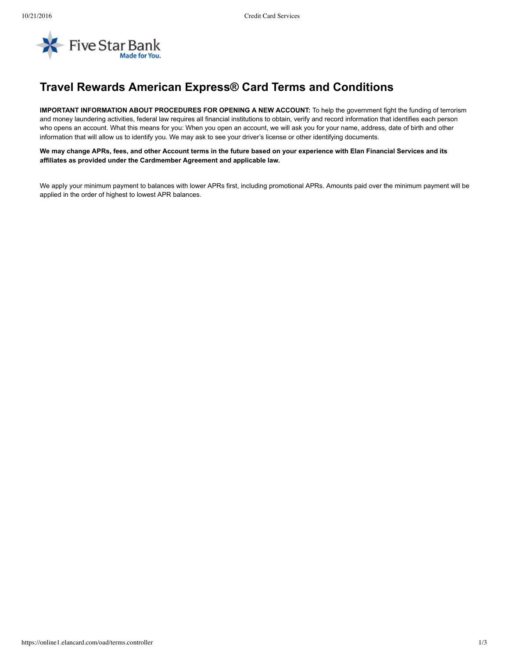

## **Travel Rewards American Express® Card Terms and Conditions**

**IMPORTANT INFORMATION ABOUT PROCEDURES FOR OPENING A NEW ACCOUNT:** To help the government fight the funding of terrorism and money laundering activities, federal law requires all financial institutions to obtain, verify and record information that identifies each person who opens an account. What this means for you: When you open an account, we will ask you for your name, address, date of birth and other information that will allow us to identify you. We may ask to see your driver's license or other identifying documents.

We may change APRs, fees, and other Account terms in the future based on your experience with Elan Financial Services and its **affiliates as provided under the Cardmember Agreement and applicable law.**

We apply your minimum payment to balances with lower APRs first, including promotional APRs. Amounts paid over the minimum payment will be applied in the order of highest to lowest APR balances.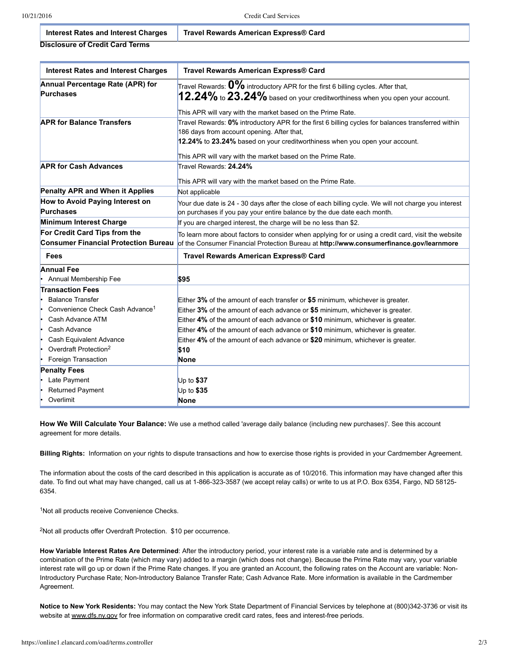**Disclosure of Credit Card Terms Interest Rates and Interest Charges Travel Rewards American Express® Card**

| <b>Interest Rates and Interest Charges</b>        | Travel Rewards American Express® Card                                                                                     |
|---------------------------------------------------|---------------------------------------------------------------------------------------------------------------------------|
| Annual Percentage Rate (APR) for                  | Travel Rewards: $0\%$ introductory APR for the first 6 billing cycles. After that,                                        |
| <b>Purchases</b>                                  | $12.24\%$ to $23.24\%$ based on your creditworthiness when you open your account.                                         |
|                                                   |                                                                                                                           |
|                                                   | This APR will vary with the market based on the Prime Rate.                                                               |
| <b>APR for Balance Transfers</b>                  | Travel Rewards: 0% introductory APR for the first 6 billing cycles for balances transferred within                        |
|                                                   | 186 days from account opening. After that,<br>12.24% to 23.24% based on your creditworthiness when you open your account. |
|                                                   |                                                                                                                           |
|                                                   | This APR will vary with the market based on the Prime Rate.                                                               |
| <b>APR for Cash Advances</b>                      | Travel Rewards: 24.24%                                                                                                    |
|                                                   |                                                                                                                           |
|                                                   | This APR will vary with the market based on the Prime Rate.                                                               |
| Penalty APR and When it Applies                   | Not applicable                                                                                                            |
| How to Avoid Paying Interest on                   | Your due date is 24 - 30 days after the close of each billing cycle. We will not charge you interest                      |
| <b>Purchases</b>                                  | on purchases if you pay your entire balance by the due date each month.                                                   |
| Minimum Interest Charge                           | If you are charged interest, the charge will be no less than \$2.                                                         |
| For Credit Card Tips from the                     | To learn more about factors to consider when applying for or using a credit card, visit the website                       |
| <b>Consumer Financial Protection Bureau</b>       | of the Consumer Financial Protection Bureau at http://www.consumerfinance.gov/learnmore                                   |
| <b>Fees</b>                                       | Travel Rewards American Express® Card                                                                                     |
| <b>Annual Fee</b>                                 |                                                                                                                           |
| Annual Membership Fee                             | \$95                                                                                                                      |
| <b>Transaction Fees</b>                           |                                                                                                                           |
| <b>Balance Transfer</b>                           | Either $3\%$ of the amount of each transfer or \$5 minimum, whichever is greater.                                         |
| Convenience Check Cash Advance <sup>1</sup><br>۱. | Either 3% of the amount of each advance or \$5 minimum, whichever is greater.                                             |
| Cash Advance ATM                                  | Either 4% of the amount of each advance or \$10 minimum, whichever is greater.                                            |
| Cash Advance<br>le                                | Either 4% of the amount of each advance or \$10 minimum, whichever is greater.                                            |
| Cash Equivalent Advance                           | Either 4% of the amount of each advance or \$20 minimum, whichever is greater.                                            |
| Overdraft Protection <sup>2</sup>                 | \$10                                                                                                                      |
| Foreign Transaction<br>۱                          | None                                                                                                                      |
| <b>Penalty Fees</b>                               |                                                                                                                           |
| Late Payment                                      | Up to $$37$                                                                                                               |
| <b>Returned Payment</b>                           | Up to \$35                                                                                                                |
| Overlimit                                         | <b>None</b>                                                                                                               |

**How We Will Calculate Your Balance:** We use a method called 'average daily balance (including new purchases)'. See this account agreement for more details.

**Billing Rights:** Information on your rights to dispute transactions and how to exercise those rights is provided in your Cardmember Agreement.

The information about the costs of the card described in this application is accurate as of 10/2016. This information may have changed after this date. To find out what may have changed, call us at 1-866-323-3587 (we accept relay calls) or write to us at P.O. Box 6354, Fargo, ND 58125-6354.

<sup>1</sup>Not all products receive Convenience Checks.

<sup>2</sup>Not all products offer Overdraft Protection. \$10 per occurrence.

**How Variable Interest Rates Are Determined**: After the introductory period, your interest rate is a variable rate and is determined by a combination of the Prime Rate (which may vary) added to a margin (which does not change). Because the Prime Rate may vary, your variable interest rate will go up or down if the Prime Rate changes. If you are granted an Account, the following rates on the Account are variable: Non-Introductory Purchase Rate; Non-Introductory Balance Transfer Rate; Cash Advance Rate. More information is available in the Cardmember Agreement.

**Notice to New York Residents:** You may contact the New York State Department of Financial Services by telephone at (800)3423736 or visit its website at [www.dfs.ny.gov](http://www.dfs.ny.gov/) for free information on comparative credit card rates, fees and interest-free periods.